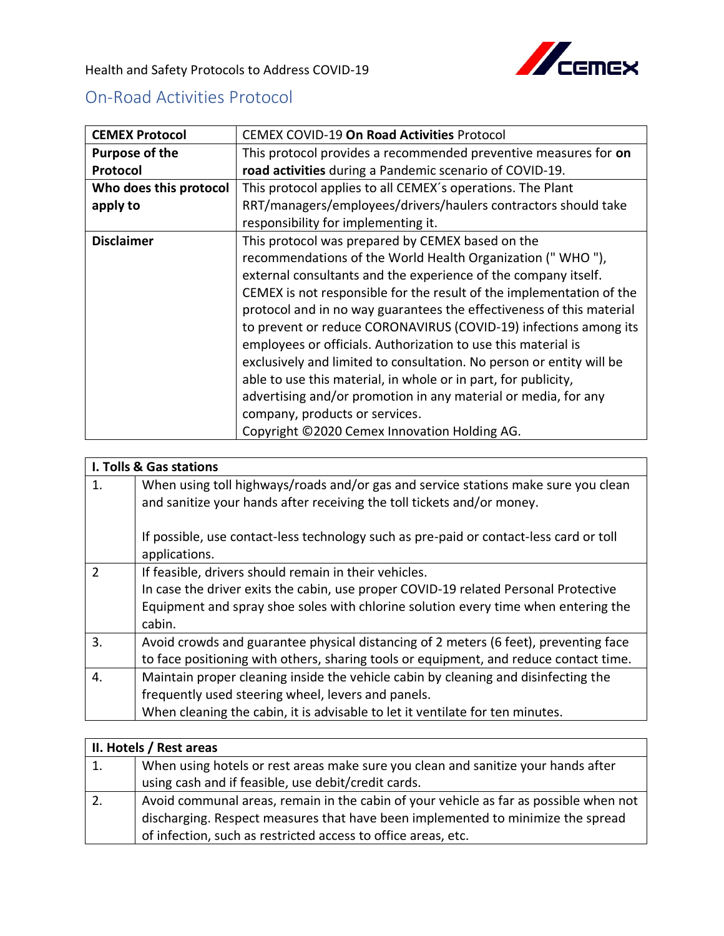

Health and Safety Protocols to Address COVID-19

## On-Road Activities Protocol

| <b>CEMEX Protocol</b>  | <b>CEMEX COVID-19 On Road Activities Protocol</b>                    |
|------------------------|----------------------------------------------------------------------|
| Purpose of the         | This protocol provides a recommended preventive measures for on      |
| Protocol               | road activities during a Pandemic scenario of COVID-19.              |
| Who does this protocol | This protocol applies to all CEMEX's operations. The Plant           |
| apply to               | RRT/managers/employees/drivers/haulers contractors should take       |
|                        | responsibility for implementing it.                                  |
| <b>Disclaimer</b>      | This protocol was prepared by CEMEX based on the                     |
|                        | recommendations of the World Health Organization ("WHO"),            |
|                        | external consultants and the experience of the company itself.       |
|                        | CEMEX is not responsible for the result of the implementation of the |
|                        | protocol and in no way guarantees the effectiveness of this material |
|                        | to prevent or reduce CORONAVIRUS (COVID-19) infections among its     |
|                        | employees or officials. Authorization to use this material is        |
|                        | exclusively and limited to consultation. No person or entity will be |
|                        | able to use this material, in whole or in part, for publicity,       |
|                        | advertising and/or promotion in any material or media, for any       |
|                        | company, products or services.                                       |
|                        | Copyright ©2020 Cemex Innovation Holding AG.                         |

| I. Tolls & Gas stations |                                                                                                                                                                                                                                                        |
|-------------------------|--------------------------------------------------------------------------------------------------------------------------------------------------------------------------------------------------------------------------------------------------------|
| 1.                      | When using toll highways/roads and/or gas and service stations make sure you clean<br>and sanitize your hands after receiving the toll tickets and/or money.<br>If possible, use contact-less technology such as pre-paid or contact-less card or toll |
|                         | applications.                                                                                                                                                                                                                                          |
| $\overline{2}$          | If feasible, drivers should remain in their vehicles.<br>In case the driver exits the cabin, use proper COVID-19 related Personal Protective<br>Equipment and spray shoe soles with chlorine solution every time when entering the<br>cabin.           |
| $\overline{3}$ .        | Avoid crowds and guarantee physical distancing of 2 meters (6 feet), preventing face<br>to face positioning with others, sharing tools or equipment, and reduce contact time.                                                                          |
| $\overline{4}$ .        | Maintain proper cleaning inside the vehicle cabin by cleaning and disinfecting the<br>frequently used steering wheel, levers and panels.<br>When cleaning the cabin, it is advisable to let it ventilate for ten minutes.                              |

| II. Hotels / Rest areas |                                                                                       |
|-------------------------|---------------------------------------------------------------------------------------|
| $\overline{1}$ .        | When using hotels or rest areas make sure you clean and sanitize your hands after     |
|                         | using cash and if feasible, use debit/credit cards.                                   |
| $\overline{2}$ .        | Avoid communal areas, remain in the cabin of your vehicle as far as possible when not |
|                         | discharging. Respect measures that have been implemented to minimize the spread       |
|                         | of infection, such as restricted access to office areas, etc.                         |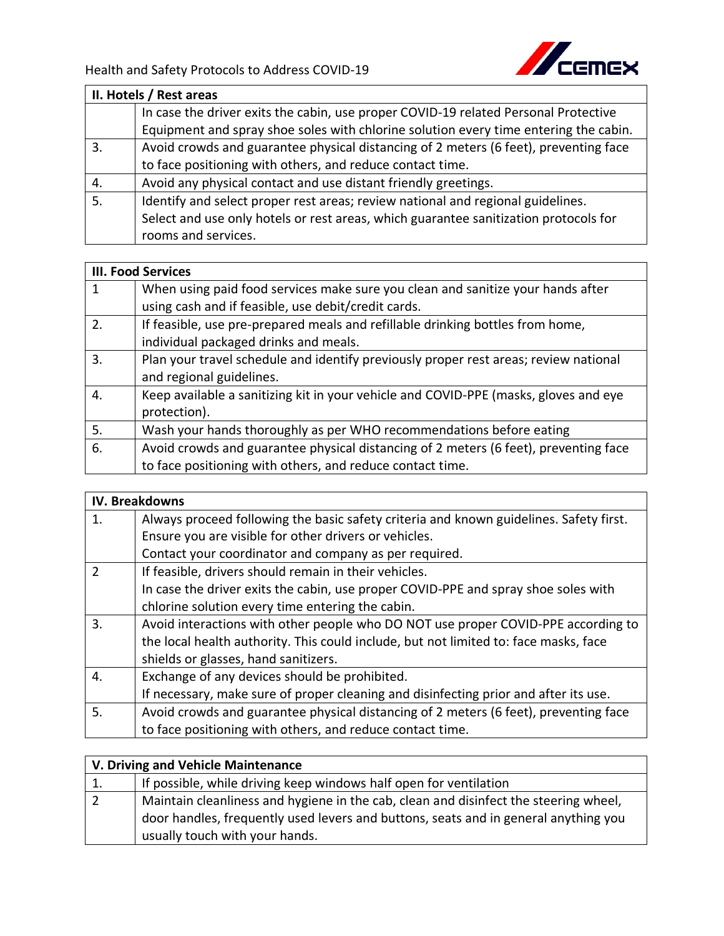

| II. Hotels / Rest areas |                                                                                      |
|-------------------------|--------------------------------------------------------------------------------------|
|                         | In case the driver exits the cabin, use proper COVID-19 related Personal Protective  |
|                         | Equipment and spray shoe soles with chlorine solution every time entering the cabin. |
| 3.                      | Avoid crowds and guarantee physical distancing of 2 meters (6 feet), preventing face |
|                         | to face positioning with others, and reduce contact time.                            |
| 4.                      | Avoid any physical contact and use distant friendly greetings.                       |
| 5.                      | Identify and select proper rest areas; review national and regional guidelines.      |
|                         | Select and use only hotels or rest areas, which guarantee sanitization protocols for |
|                         | rooms and services.                                                                  |

| <b>III. Food Services</b> |                                                                                      |
|---------------------------|--------------------------------------------------------------------------------------|
|                           | When using paid food services make sure you clean and sanitize your hands after      |
|                           | using cash and if feasible, use debit/credit cards.                                  |
| 2.                        | If feasible, use pre-prepared meals and refillable drinking bottles from home,       |
|                           | individual packaged drinks and meals.                                                |
| 3.                        | Plan your travel schedule and identify previously proper rest areas; review national |
|                           | and regional guidelines.                                                             |
| 4.                        | Keep available a sanitizing kit in your vehicle and COVID-PPE (masks, gloves and eye |
|                           | protection).                                                                         |
| 5.                        | Wash your hands thoroughly as per WHO recommendations before eating                  |
| 6.                        | Avoid crowds and guarantee physical distancing of 2 meters (6 feet), preventing face |
|                           | to face positioning with others, and reduce contact time.                            |

| <b>IV. Breakdowns</b> |                                                                                        |
|-----------------------|----------------------------------------------------------------------------------------|
| $\mathbf{1}$ .        | Always proceed following the basic safety criteria and known guidelines. Safety first. |
|                       | Ensure you are visible for other drivers or vehicles.                                  |
|                       | Contact your coordinator and company as per required.                                  |
| $\overline{2}$        | If feasible, drivers should remain in their vehicles.                                  |
|                       | In case the driver exits the cabin, use proper COVID-PPE and spray shoe soles with     |
|                       | chlorine solution every time entering the cabin.                                       |
| $\overline{3}$ .      | Avoid interactions with other people who DO NOT use proper COVID-PPE according to      |
|                       | the local health authority. This could include, but not limited to: face masks, face   |
|                       | shields or glasses, hand sanitizers.                                                   |
| 4.                    | Exchange of any devices should be prohibited.                                          |
|                       | If necessary, make sure of proper cleaning and disinfecting prior and after its use.   |
| 5.                    | Avoid crowds and guarantee physical distancing of 2 meters (6 feet), preventing face   |
|                       | to face positioning with others, and reduce contact time.                              |

| V. Driving and Vehicle Maintenance |                                                                                      |
|------------------------------------|--------------------------------------------------------------------------------------|
| 1.                                 | If possible, while driving keep windows half open for ventilation                    |
| $\overline{2}$                     | Maintain cleanliness and hygiene in the cab, clean and disinfect the steering wheel, |
|                                    | door handles, frequently used levers and buttons, seats and in general anything you  |
|                                    | usually touch with your hands.                                                       |